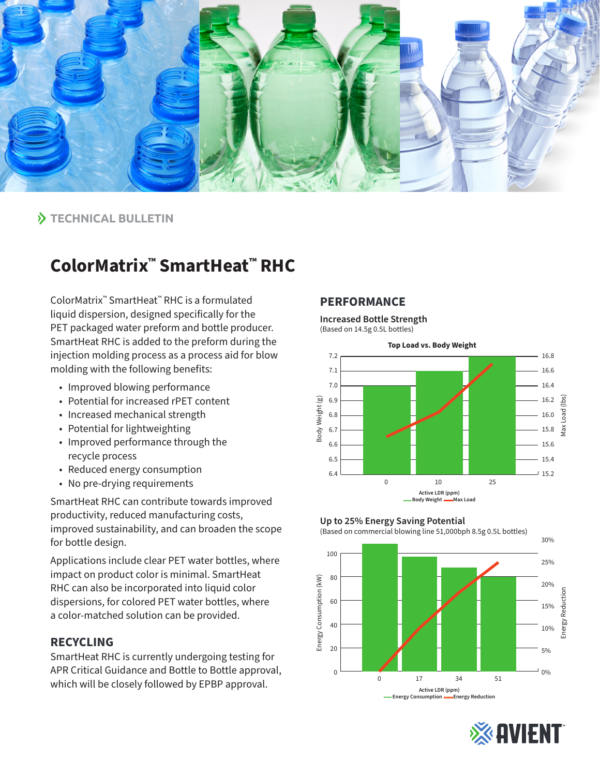

### **TECHNICAL BULLETIN**

# **ColorMatrix™ SmartHeat™ RHC**

ColorMatrix™ SmartHeat™ RHC is a formulated liquid dispersion, designed specifically for the PET packaged water preform and bottle producer. SmartHeat RHC is added to the preform during the injection molding process as a process aid for blow molding with the following benefits:

- Improved blowing performance
- Potential for increased rPET content
- Increased mechanical strength
- Potential for lightweighting
- Improved performance through the recycle process
- Reduced energy consumption
- No pre-drying requirements

SmartHeat RHC can contribute towards improved productivity, reduced manufacturing costs, improved sustainability, and can broaden the scope for bottle design.

Applications include clear PET water bottles, where impact on product color is minimal. SmartHeat RHC can also be incorporated into liquid color dispersions, for colored PET water bottles, where a color-matched solution can be provided.

### **RECYCLING**

SmartHeat RHC is currently undergoing testing for APR Critical Guidance and Bottle to Bottle approval, which will be closely followed by EPBP approval.

#### **PERFORMANCE**

**Increased Bottle Strength** (Based on 14.5g 0.5L bottles)



#### **Up to 25% Energy Saving Potential**

(Based on commercial blowing line 51,000bph 8.5g 0.5L bottles)